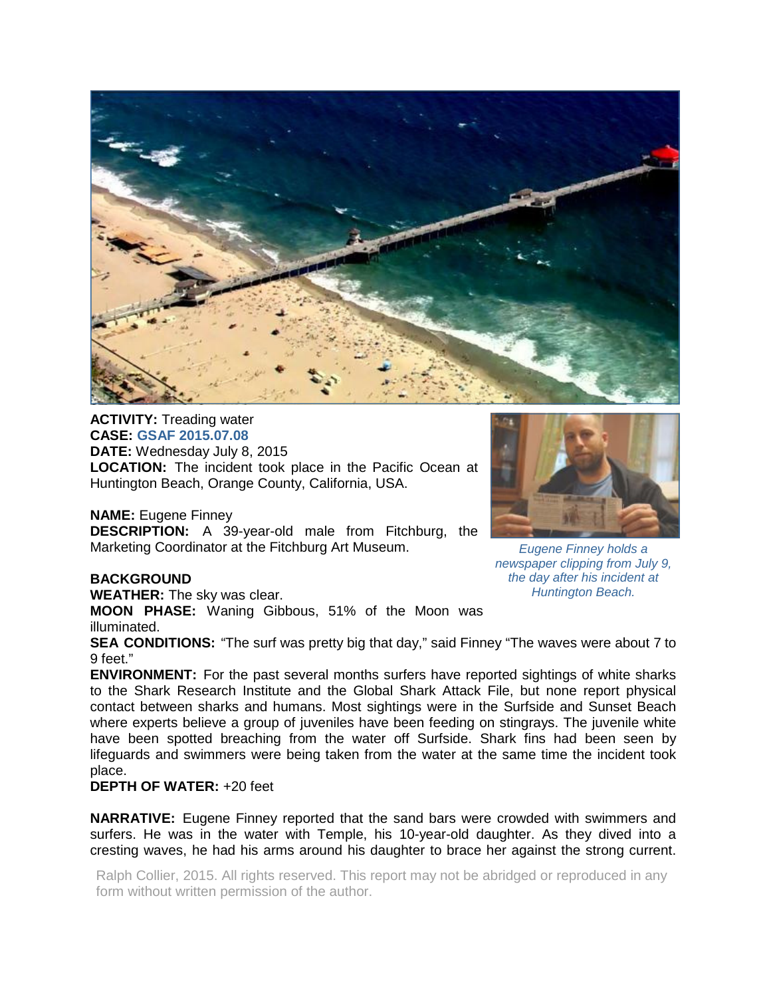

**ACTIVITY:** Treading water **CASE: GSAF 2015.07.08 DATE:** Wednesday July 8, 2015 **LOCATION:** The incident took place in the Pacific Ocean at Huntington Beach, Orange County, California, USA.

**NAME:** Eugene Finney

**DESCRIPTION:** A 39-year-old male from Fitchburg, the Marketing Coordinator at the Fitchburg Art Museum.

## **BACKGROUND**

**WEATHER:** The sky was clear.

**MOON PHASE:** Waning Gibbous, 51% of the Moon was illuminated.

**SEA CONDITIONS:** "The surf was pretty big that day," said Finney "The waves were about 7 to 9 feet."

**ENVIRONMENT:** For the past several months surfers have reported sightings of white sharks to the Shark Research Institute and the Global Shark Attack File, but none report physical contact between sharks and humans. Most sightings were in the Surfside and Sunset Beach where experts believe a group of juveniles have been feeding on stingrays. The juvenile white have been spotted breaching from the water off Surfside. Shark fins had been seen by lifeguards and swimmers were being taken from the water at the same time the incident took place.

## **DEPTH OF WATER:** +20 feet

**NARRATIVE:** Eugene Finney reported that the sand bars were crowded with swimmers and surfers. He was in the water with Temple, his 10-year-old daughter. As they dived into a cresting waves, he had his arms around his daughter to brace her against the strong current.

Ralph Collier, 2015. All rights reserved. This report may not be abridged or reproduced in any form without written permission of the author.



*Eugene Finney holds a newspaper clipping from July 9, the day after his incident at Huntington Beach.*